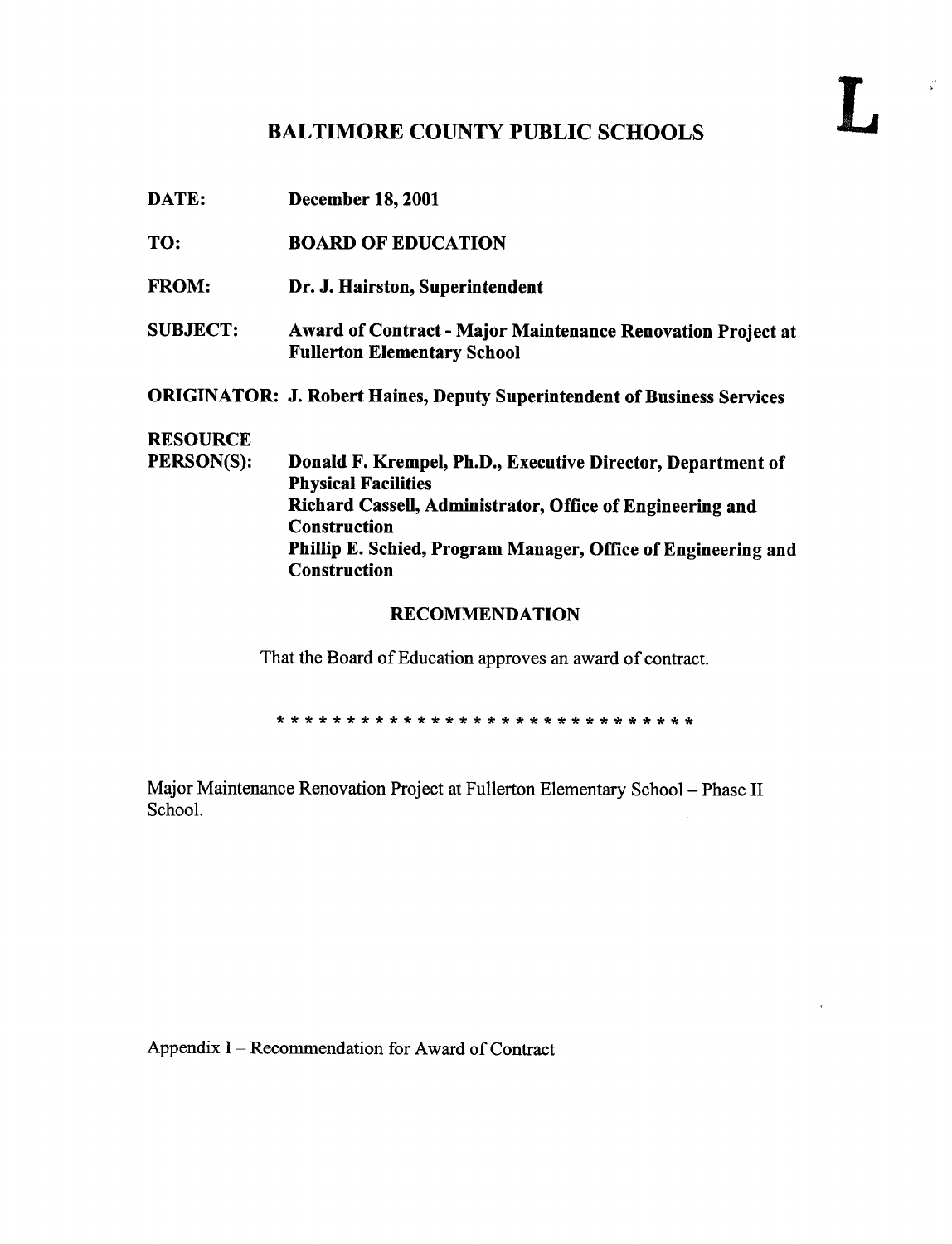## BALTIMORE COUNTY PUBLIC SCHOOLS

 $\mathbf{L}$ 

DATE: December 18, 2001 TO: BOARD OF EDUCATION FROM: Dr. J. Hairston, Superintendent SUBJECT: Award of Contract - Major Maintenance Renovation Project at Fullerton Elementary School ORIGINATOR: J. Robert Haines, Deputy Superintendent of Business Services **RESOURCE**<br>PERSON(S): Donald F. Krempel, Ph.D., Executive Director, Department of Physical Facilities Richard Cassell, Administrator, Office of Engineering and Construction Phillip E. Schied, Program Manager, Office of Engineering and Construction RECOMMENDATION

That the Board of Education approves an award of contract.

Major Maintenance Renovation Project at Fullerton Elementary School - Phase II School.

Appendix I – Recommendation for Award of Contract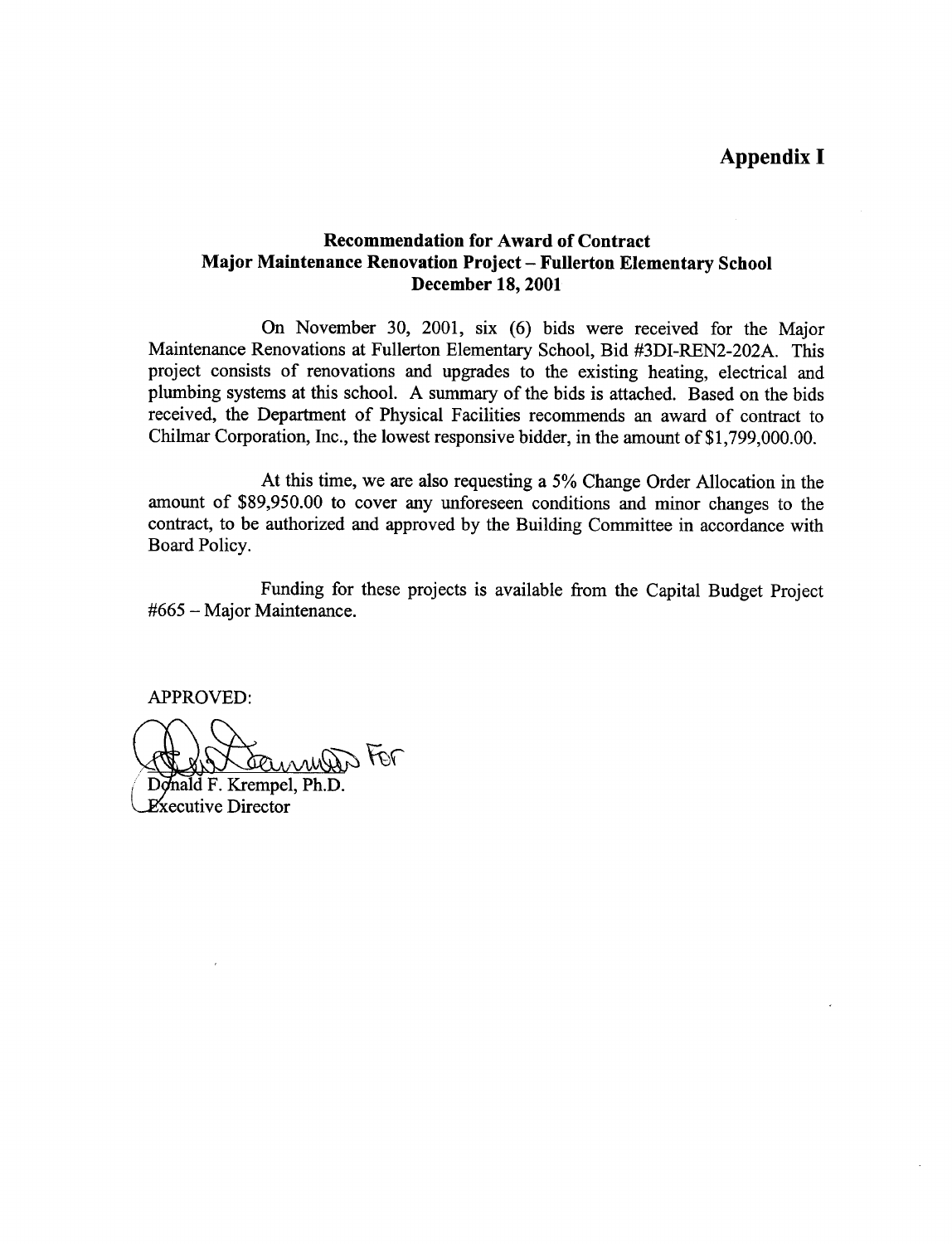## Recommendation for Award of Contract Major Maintenance Renovation Project - Fullerton Elementary School December 18, 2001

On November 30, 2001, six (6) bids were received for the Major Maintenance Renovations at Fullerton Elementary School, Bid #3DI-REN2-202A . This project consists of renovations and upgrades to the existing heating, electrical and plumbing systems at this school. A summary of the bids is attached. Based on the bids received, the Department of Physical Facilities recommends an award of contract to Chilmar Corporation, Inc., the lowest responsive bidder, in the amount of \$1,799,000.00.

At this time, we are also requesting <sup>a</sup> 5% Change Order Allocation in the amount of \$89,950.00 to cover any unforeseen conditions and minor changes to the contract, to be authorized and approved by the Building Committee in accordance with Board Policy.

Funding for these projects is available from the Capital Budget Project #665 - Major Maintenance .

APPROVED:

 $\sqrt{97}$ 

Donald F. Krempel, Ph.D. Executive Director